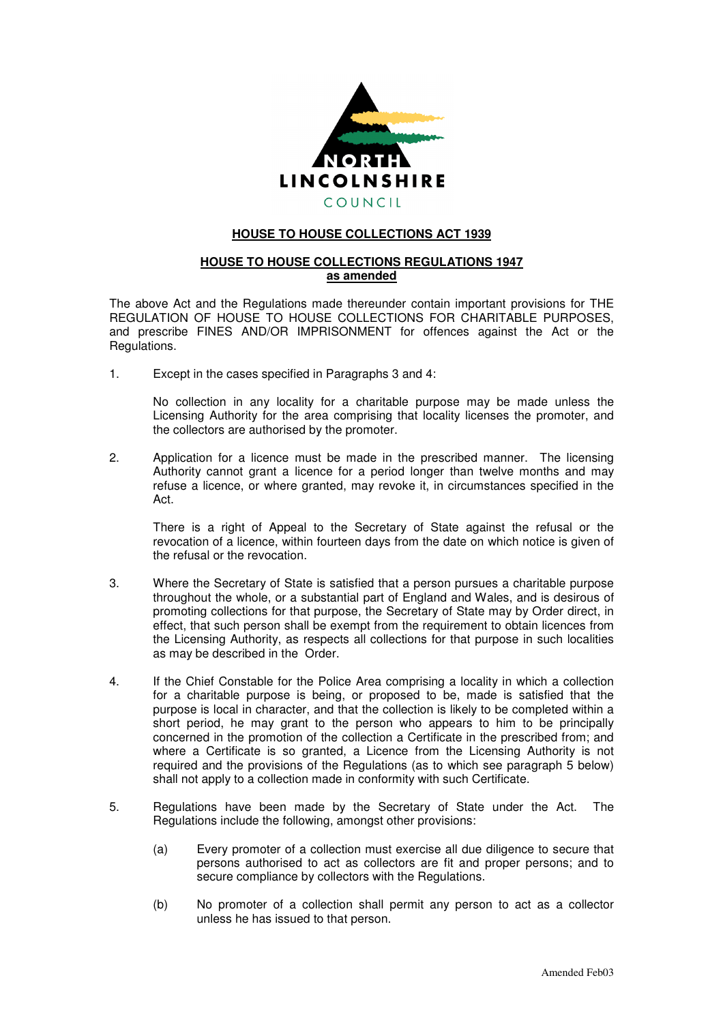

## **HOUSE TO HOUSE COLLECTIONS ACT 1939**

## **HOUSE TO HOUSE COLLECTIONS REGULATIONS 1947 as amended**

The above Act and the Regulations made thereunder contain important provisions for THE REGULATION OF HOUSE TO HOUSE COLLECTIONS FOR CHARITABLE PURPOSES, and prescribe FINES AND/OR IMPRISONMENT for offences against the Act or the Regulations.

1. Except in the cases specified in Paragraphs 3 and 4:

No collection in any locality for a charitable purpose may be made unless the Licensing Authority for the area comprising that locality licenses the promoter, and the collectors are authorised by the promoter.

2. Application for a licence must be made in the prescribed manner. The licensing Authority cannot grant a licence for a period longer than twelve months and may refuse a licence, or where granted, may revoke it, in circumstances specified in the Act.

There is a right of Appeal to the Secretary of State against the refusal or the revocation of a licence, within fourteen days from the date on which notice is given of the refusal or the revocation.

- 3. Where the Secretary of State is satisfied that a person pursues a charitable purpose throughout the whole, or a substantial part of England and Wales, and is desirous of promoting collections for that purpose, the Secretary of State may by Order direct, in effect, that such person shall be exempt from the requirement to obtain licences from the Licensing Authority, as respects all collections for that purpose in such localities as may be described in the Order.
- 4. If the Chief Constable for the Police Area comprising a locality in which a collection for a charitable purpose is being, or proposed to be, made is satisfied that the purpose is local in character, and that the collection is likely to be completed within a short period, he may grant to the person who appears to him to be principally concerned in the promotion of the collection a Certificate in the prescribed from; and where a Certificate is so granted, a Licence from the Licensing Authority is not required and the provisions of the Regulations (as to which see paragraph 5 below) shall not apply to a collection made in conformity with such Certificate.
- 5. Regulations have been made by the Secretary of State under the Act. The Regulations include the following, amongst other provisions:
	- (a) Every promoter of a collection must exercise all due diligence to secure that persons authorised to act as collectors are fit and proper persons; and to secure compliance by collectors with the Regulations.
	- (b) No promoter of a collection shall permit any person to act as a collector unless he has issued to that person.